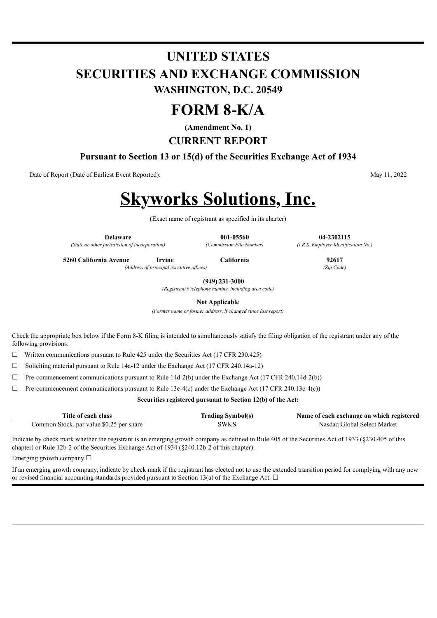## **UNITED STATES SECURITIES AND EXCHANGE COMMISSION WASHINGTON, D.C. 20549**

## **FORM 8-K/A**

**(Amendment No. 1)**

**CURRENT REPORT**

**Pursuant to Section 13 or 15(d) of the Securities Exchange Act of 1934**

Date of Report (Date of Earliest Event Reported): May 11, 2022

# **Skyworks Solutions, Inc.**

(Exact name of registrant as specified in its charter)

**Delaware 001-05560 04-2302115** *(State or other jurisdiction of incorporation) (Commission File Number) (I.R.S. Employer Identification No.)*

**5260 California Avenue Irvine California 92617**

**(949) 231-3000**

*(Registrant's telephone number, including area code)*

**Not Applicable**

*(Former name or former address, if changed since last report)*

Check the appropriate box below if the Form 8-K filing is intended to simultaneously satisfy the filing obligation of the registrant under any of the following provisions:

☐ Written communications pursuant to Rule 425 under the Securities Act (17 CFR 230.425)

 $\Box$  Soliciting material pursuant to Rule 14a-12 under the Exchange Act (17 CFR 240.14a-12)

 $\Box$  Pre-commencement communications pursuant to Rule 14d-2(b) under the Exchange Act (17 CFR 240.14d-2(b))

 $\Box$  Pre-commencement communications pursuant to Rule 13e-4(c) under the Exchange Act (17 CFR 240.13e-4(c))

**Securities registered pursuant to Section 12(b) of the Act:**

| Title of each class                      | <b>Trading Symbol(s)</b> | Name of each exchange on which registered |
|------------------------------------------|--------------------------|-------------------------------------------|
| Common Stock, par value \$0.25 per share | <b>SWKS</b>              | Nasdaq Global Select Market               |

Indicate by check mark whether the registrant is an emerging growth company as defined in Rule 405 of the Securities Act of 1933 (§230.405 of this chapter) or Rule 12b-2 of the Securities Exchange Act of 1934 (§240.12b-2 of this chapter).

Emerging growth company  $\Box$ 

If an emerging growth company, indicate by check mark if the registrant has elected not to use the extended transition period for complying with any new or revised financial accounting standards provided pursuant to Section 13(a) of the Exchange Act.  $\Box$ 

*(Address of principal executive of ices) (Zip Code)*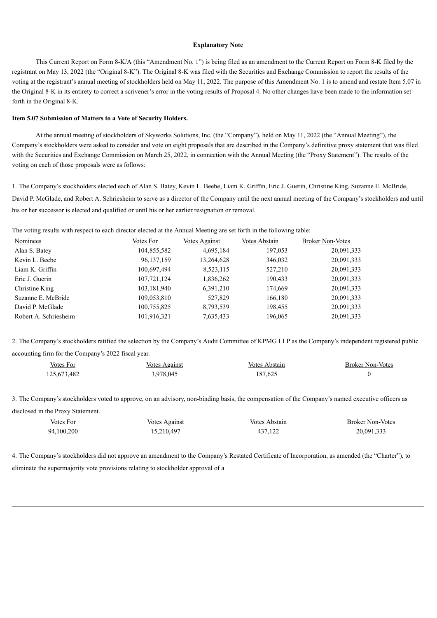#### **Explanatory Note**

This Current Report on Form 8-K/A (this "Amendment No. 1") is being filed as an amendment to the Current Report on Form 8-K filed by the registrant on May 13, 2022 (the "Original 8-K"). The Original 8-K was filed with the Securities and Exchange Commission to report the results of the voting at the registrant's annual meeting of stockholders held on May 11, 2022. The purpose of this Amendment No. 1 is to amend and restate Item 5.07 in the Original 8-K in its entirety to correct a scrivener's error in the voting results of Proposal 4. No other changes have been made to the information set forth in the Original 8-K.

#### **Item 5.07 Submission of Matters to a Vote of Security Holders.**

At the annual meeting of stockholders of Skyworks Solutions, Inc. (the "Company"), held on May 11, 2022 (the "Annual Meeting"), the Company's stockholders were asked to consider and vote on eight proposals that are described in the Company's definitive proxy statement that was filed with the Securities and Exchange Commission on March 25, 2022, in connection with the Annual Meeting (the "Proxy Statement"). The results of the voting on each of those proposals were as follows:

1. The Company's stockholders elected each of Alan S. Batey, Kevin L. Beebe, Liam K. Griffin, Eric J. Guerin, Christine King, Suzanne E. McBride, David P. McGlade, and Robert A. Schriesheim to serve as a director of the Company until the next annual meeting of the Company's stockholders and until his or her successor is elected and qualified or until his or her earlier resignation or removal.

The voting results with respect to each director elected at the Annual Meeting are set forth in the following table:

| <b>Nominees</b>       | Votes For   | Votes Against | <b>Votes Abstain</b> | <b>Broker Non-Votes</b> |
|-----------------------|-------------|---------------|----------------------|-------------------------|
| Alan S. Batey         | 104,855,582 | 4,695,184     | 197,053              | 20,091,333              |
| Kevin L. Beebe        | 96,137,159  | 13,264,628    | 346,032              | 20,091,333              |
| Liam K. Griffin       | 100,697,494 | 8,523,115     | 527,210              | 20,091,333              |
| Eric J. Guerin        | 107,721,124 | 1,836,262     | 190,433              | 20,091,333              |
| Christine King        | 103,181,940 | 6,391,210     | 174,669              | 20,091,333              |
| Suzanne E. McBride    | 109,053,810 | 527,829       | 166,180              | 20,091,333              |
| David P. McGlade      | 100,755,825 | 8,793,539     | 198,455              | 20,091,333              |
| Robert A. Schriesheim | 101,916,321 | 7,635,433     | 196,065              | 20,091,333              |

2. The Company's stockholders ratified the selection by the Company's Audit Committee of KPMG LLP as the Company's independent registered public accounting firm for the Company's 2022 fiscal year.

| <b>Votes For</b> | <b>Votes Against</b> | Votes Abstain | <b>Broker Non-Votes</b> |
|------------------|----------------------|---------------|-------------------------|
| 125,673,482      | 3,978,045            | 187,625       |                         |

3. The Company's stockholders voted to approve, on an advisory, non-binding basis, the compensation of the Company's named executive officers as disclosed in the Proxy Statement.

| Votes For  | <u>Votes Against</u> | Votes Abstain | <b>Broker Non-Votes</b> |
|------------|----------------------|---------------|-------------------------|
| 94,100,200 | 15,210,497           | 437,122       | 20,091,333              |

4. The Company's stockholders did not approve an amendment to the Company's Restated Certificate of Incorporation, as amended (the "Charter"), to eliminate the supermajority vote provisions relating to stockholder approval of a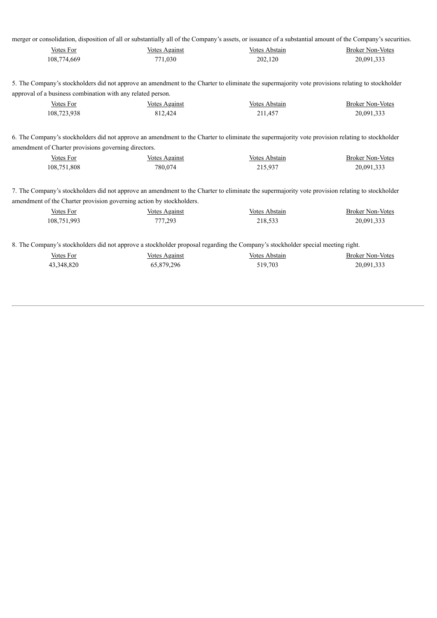|  | merger or consolidation, disposition of all or substantially all of the Company's assets, or issuance of a substantial amount of the Company's securities. |  |  |  |
|--|------------------------------------------------------------------------------------------------------------------------------------------------------------|--|--|--|
|  |                                                                                                                                                            |  |  |  |

| Votes For   | Votes Against | Votes Abstain | <b>Broker Non-Votes</b> |
|-------------|---------------|---------------|-------------------------|
| 108,774,669 | 771,030       | 202,120       | 20,091,333              |

5. The Company's stockholders did not approve an amendment to the Charter to eliminate the supermajority vote provisions relating to stockholder approval of a business combination with any related person.

| Votes For   | Votes Against | Votes Abstain | <b>Broker Non-Votes</b> |
|-------------|---------------|---------------|-------------------------|
| 108,723,938 | 812.424       | 211.457       | 20,091,333              |

6. The Company's stockholders did not approve an amendment to the Charter to eliminate the supermajority vote provision relating to stockholder amendment of Charter provisions governing directors.

| Votes For   | <b>Votes Against</b> | Votes Abstain | <b>Broker Non-Votes</b> |
|-------------|----------------------|---------------|-------------------------|
| 108,751,808 | 780.074              | 215,937       | 20,091,333              |

7. The Company's stockholders did not approve an amendment to the Charter to eliminate the supermajority vote provision relating to stockholder amendment of the Charter provision governing action by stockholders.

| Votes For   | <b>Votes Against</b> | Votes Abstain | <b>Broker Non-Votes</b> |
|-------------|----------------------|---------------|-------------------------|
| 108,751,993 | 777,293              | 218,533       | 20,091,333              |

8. The Company's stockholders did not approve a stockholder proposal regarding the Company's stockholder special meeting right.

| Votes For  | Votes Against | <b>Votes Abstain</b> | <b>Broker Non-Votes</b> |
|------------|---------------|----------------------|-------------------------|
| 43,348,820 | 65,879,296    | 519,703              | 20,091,333              |